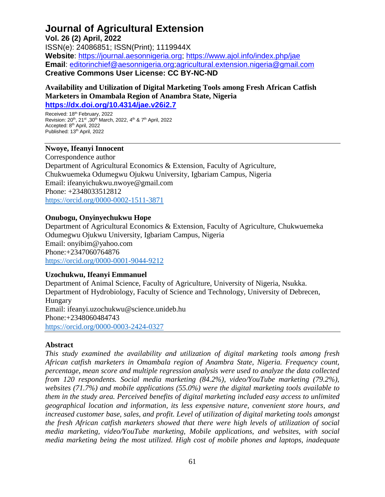## **Journal of Agricultural Extension**

**Vol. 26 (2) April, 2022**  ISSN(e): 24086851; ISSN(Print); 1119944X **Website**: [https://journal.aesonnigeria.org;](https://journal.aesonnigeria.org/) <https://www.ajol.info/index.php/jae> **Email**: [editorinchief@aesonnigeria.org](mailto:editorinchief@aesonnigeria.org)[;agricultural.extension.nigeria@gmail.com](mailto:agricultural.extension.nigeria@gmail.com) **Creative Commons User License: CC BY-NC-ND**

**Availability and Utilization of Digital Marketing Tools among Fresh African Catfish Marketers in Omambala Region of Anambra State, Nigeria <https://dx.doi.org/10.4314/jae.v26i2.7>**

Received: 18<sup>th</sup> February, 2022 Revision: 20th, 21st ,30th March, 2022, 4th & 7th April, 2022 Accepted: 8<sup>th</sup> April, 2022 Published: 13<sup>th</sup> April, 2022

#### **Nwoye, Ifeanyi Innocent**

Correspondence author Department of Agricultural Economics & Extension, Faculty of Agriculture, Chukwuemeka Odumegwu Ojukwu University, Igbariam Campus, Nigeria Email: ifeanyichukwu.nwoye@gmail.com Phone: +2348033512812 <https://orcid.org/0000-0002-1511-3871>

#### **Onubogu, Onyinyechukwu Hope**

Department of Agricultural Economics & Extension, Faculty of Agriculture, Chukwuemeka Odumegwu Ojukwu University, Igbariam Campus, Nigeria Email: onyibim@yahoo.com Phone:+2347060764876 <https://orcid.org/0000-0001-9044-9212>

#### **Uzochukwu, Ifeanyi Emmanuel**

Department of Animal Science, Faculty of Agriculture, University of Nigeria, Nsukka. Department of Hydrobiology, Faculty of Science and Technology, University of Debrecen, Hungary Email: ifeanyi.uzochukwu@science.unideb.hu Phone:+2348060484743 <https://orcid.org/0000-0003-2424-0327>

#### **Abstract**

*This study examined the availability and utilization of digital marketing tools among fresh African catfish marketers in Omambala region of Anambra State, Nigeria. Frequency count, percentage, mean score and multiple regression analysis were used to analyze the data collected from 120 respondents. Social media marketing (84.2%), video/YouTube marketing (79.2%), websites (71.7%) and mobile applications (55.0%) were the digital marketing tools available to them in the study area. Perceived benefits of digital marketing included easy access to unlimited geographical location and information, its less expensive nature, convenient store hours, and increased customer base, sales, and profit. Level of utilization of digital marketing tools amongst the fresh African catfish marketers showed that there were high levels of utilization of social media marketing, video/YouTube marketing, Mobile applications, and websites, with social media marketing being the most utilized. High cost of mobile phones and laptops, inadequate*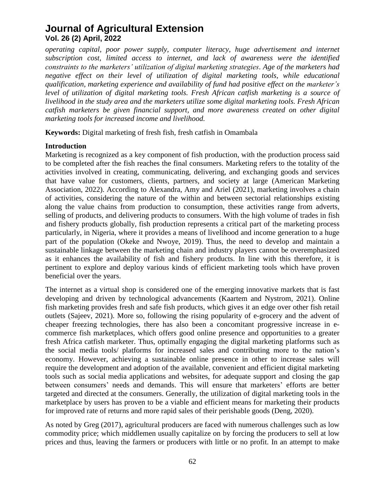*operating capital, poor power supply, computer literacy, huge advertisement and internet subscription cost, limited access to internet, and lack of awareness were the identified constraints to the marketers' utilization of digital marketing strategies. Age of the marketers had negative effect on their level of utilization of digital marketing tools, while educational qualification, marketing experience and availability of fund had positive effect on the marketer's level of utilization of digital marketing tools. Fresh African catfish marketing is a source of livelihood in the study area and the marketers utilize some digital marketing tools. Fresh African catfish marketers be given financial support, and more awareness created on other digital marketing tools for increased income and livelihood.*

**Keywords:** Digital marketing of fresh fish, fresh catfish in Omambala

#### **Introduction**

Marketing is recognized as a key component of fish production, with the production process said to be completed after the fish reaches the final consumers. Marketing refers to the totality of the activities involved in creating, communicating, delivering, and exchanging goods and services that have value for customers, clients, partners, and society at large (American Marketing Association, 2022). According to Alexandra, Amy and Ariel (2021), marketing involves a chain of activities, considering the nature of the within and between sectorial relationships existing along the value chains from production to consumption, these activities range from adverts, selling of products, and delivering products to consumers. With the high volume of trades in fish and fishery products globally, fish production represents a critical part of the marketing process particularly, in Nigeria, where it provides a means of livelihood and income generation to a huge part of the population (Okeke and Nwoye, 2019). Thus, the need to develop and maintain a sustainable linkage between the marketing chain and industry players cannot be overemphasized as it enhances the availability of fish and fishery products. In line with this therefore, it is pertinent to explore and deploy various kinds of efficient marketing tools which have proven beneficial over the years.

The internet as a virtual shop is considered one of the emerging innovative markets that is fast developing and driven by technological advancements (Kaartem and Nystrom, 2021). Online fish marketing provides fresh and safe fish products, which gives it an edge over other fish retail outlets (Sajeev, 2021). More so, following the rising popularity of e-grocery and the advent of cheaper freezing technologies, there has also been a concomitant progressive increase in ecommerce fish marketplaces, which offers good online presence and opportunities to a greater fresh Africa catfish marketer. Thus, optimally engaging the digital marketing platforms such as the social media tools/ platforms for increased sales and contributing more to the nation's economy. However, achieving a sustainable online presence in other to increase sales will require the development and adoption of the available, convenient and efficient digital marketing tools such as social media applications and websites, for adequate support and closing the gap between consumers' needs and demands. This will ensure that marketers' efforts are better targeted and directed at the consumers. Generally, the utilization of digital marketing tools in the marketplace by users has proven to be a viable and efficient means for marketing their products for improved rate of returns and more rapid sales of their perishable goods (Deng, 2020).

As noted by Greg (2017), agricultural producers are faced with numerous challenges such as low commodity price; which middlemen usually capitalize on by forcing the producers to sell at low prices and thus, leaving the farmers or producers with little or no profit. In an attempt to make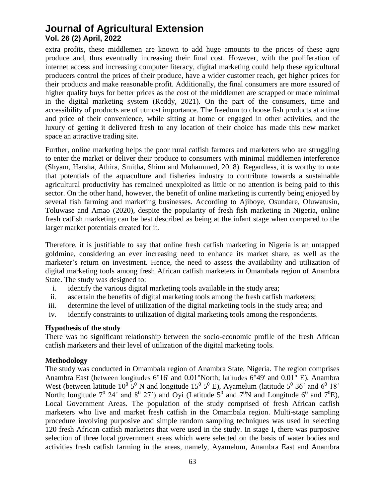extra profits, these middlemen are known to add huge amounts to the prices of these agro produce and, thus eventually increasing their final cost. However, with the proliferation of internet access and increasing computer literacy, digital marketing could help these agricultural producers control the prices of their produce, have a wider customer reach, get higher prices for their products and make reasonable profit. Additionally, the final consumers are more assured of higher quality buys for better prices as the cost of the middlemen are scrapped or made minimal in the digital marketing system (Reddy, 2021). On the part of the consumers, time and accessibility of products are of utmost importance. The freedom to choose fish products at a time and price of their convenience, while sitting at home or engaged in other activities, and the luxury of getting it delivered fresh to any location of their choice has made this new market space an attractive trading site.

Further, online marketing helps the poor rural catfish farmers and marketers who are struggling to enter the market or deliver their produce to consumers with minimal middlemen interference (Shyam, Harsha, Athira, Smitha, Shinu and Mohammed, 2018). Regardless, it is worthy to note that potentials of the aquaculture and fisheries industry to contribute towards a sustainable agricultural productivity has remained unexploited as little or no attention is being paid to this sector. On the other hand, however, the benefit of online marketing is currently being enjoyed by several fish farming and marketing businesses. According to Ajiboye, Osundare, Oluwatusin, Toluwase and Amao (2020), despite the popularity of fresh fish marketing in Nigeria, online fresh catfish marketing can be best described as being at the infant stage when compared to the larger market potentials created for it.

Therefore, it is justifiable to say that online fresh catfish marketing in Nigeria is an untapped goldmine, considering an ever increasing need to enhance its market share, as well as the marketer's return on investment. Hence, the need to assess the availability and utilization of digital marketing tools among fresh African catfish marketers in Omambala region of Anambra State. The study was designed to:

- i. identify the various digital marketing tools available in the study area;
- ii. ascertain the benefits of digital marketing tools among the fresh catfish marketers;
- iii. determine the level of utilization of the digital marketing tools in the study area; and
- iv. identify constraints to utilization of digital marketing tools among the respondents.

#### **Hypothesis of the study**

There was no significant relationship between the socio-economic profile of the fresh African catfish marketers and their level of utilization of the digital marketing tools.

#### **Methodology**

The study was conducted in Omambala region of Anambra State, Nigeria. The region comprises Anambra East (between longitudes 6°16' and 0.01"North; latitudes 6°49' and 0.01" E), Anambra West (between latitude  $10^0$  5<sup>0</sup> N and longitude  $15^0$  5<sup>0</sup> E), Ayamelum (latitude 5<sup>0</sup> 36<sup>'</sup> and 6<sup>0</sup> 18<sup>'</sup> North; longitude  $7^0$  24' and  $8^0$  27') and Oyi (Latitude  $5^0$  and  $7^0N$  and Longitude  $6^0$  and  $7^0E$ ), Local Government Areas. The population of the study comprised of fresh African catfish marketers who live and market fresh catfish in the Omambala region. Multi-stage sampling procedure involving purposive and simple random sampling techniques was used in selecting 120 fresh African catfish marketers that were used in the study. In stage I, there was purposive selection of three local government areas which were selected on the basis of water bodies and activities fresh catfish farming in the areas, namely, Ayamelum, Anambra East and Anambra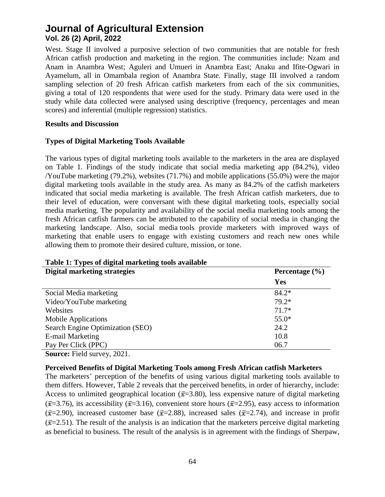West. Stage II involved a purposive selection of two communities that are notable for fresh African catfish production and marketing in the region. The communities include: Nzam and Anam in Anambra West; Aguleri and Umueri in Anambra East; Anaku and Ifite-Ogwari in Ayamelum, all in Omambala region of Anambra State. Finally, stage III involved a random sampling selection of 20 fresh African catfish marketers from each of the six communities, giving a total of 120 respondents that were used for the study. Primary data were used in the study while data collected were analysed using descriptive (frequency, percentages and mean scores) and inferential (multiple regression) statistics.

#### **Results and Discussion**

#### **Types of Digital Marketing Tools Available**

The various types of digital marketing tools available to the marketers in the area are displayed on Table 1. Findings of the study indicate that social media marketing app (84.2%), video /YouTube marketing (79.2%), websites (71.7%) and mobile applications (55.0%) were the major digital marketing tools available in the study area. As many as 84.2% of the catfish marketers indicated that social media marketing is available. The fresh African catfish marketers, due to their level of education, were conversant with these digital marketing tools, especially social media marketing. The popularity and availability of the social media marketing tools among the fresh African catfish farmers can be attributed to the capability of social media in changing the marketing landscape. Also, social media tools provide marketers with improved ways of marketing that enable users to engage with existing customers and reach new ones while allowing them to promote their desired culture, mission, or tone.

| Digital marketing strategies       | Percentage $(\% )$ |  |
|------------------------------------|--------------------|--|
|                                    | Yes                |  |
| Social Media marketing             | $84.2*$            |  |
| Video/YouTube marketing            | 79.2*              |  |
| Websites                           | $71.7*$            |  |
| <b>Mobile Applications</b>         | $55.0*$            |  |
| Search Engine Optimization (SEO)   | 24.2               |  |
| E-mail Marketing                   | 10.8               |  |
| Pay Per Click (PPC)                | 06.7               |  |
| <b>Source:</b> Field survey, 2021. |                    |  |

#### **Table 1: Types of digital marketing tools available**

#### **Perceived Benefits of Digital Marketing Tools among Fresh African catfish Marketers**

The marketers' perception of the benefits of using various digital marketing tools available to them differs. However, Table 2 reveals that the perceived benefits, in order of hierarchy, include: Access to unlimited geographical location ( $\bar{x}$ =3.80), less expensive nature of digital marketing  $({\bar x}=3.76)$ , its accessibility ( ${\bar x}=3.16$ ), convenient store hours ( ${\bar x}=2.95$ ), easy access to information  $({\bar x}=2.90)$ , increased customer base ( ${\bar x}=2.88$ ), increased sales ( ${\bar x}=2.74$ ), and increase in profit  $(\bar{x}=2.51)$ . The result of the analysis is an indication that the marketers perceive digital marketing as beneficial to business. The result of the analysis is in agreement with the findings of Sherpaw,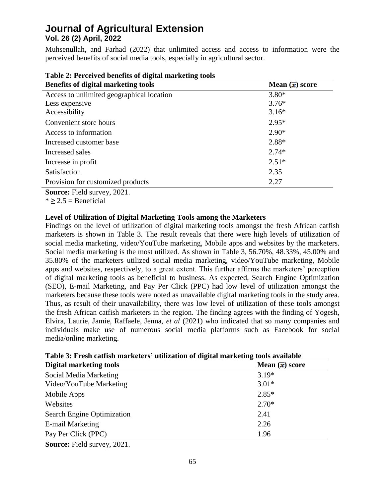Muhsenullah, and Farhad (2022) that unlimited access and access to information were the perceived benefits of social media tools, especially in agricultural sector.

| <b>Benefits of digital marketing tools</b> | Mean $(\bar{x})$ score |  |  |
|--------------------------------------------|------------------------|--|--|
| Access to unlimited geographical location  | $3.80*$                |  |  |
| Less expensive                             | $3.76*$                |  |  |
| Accessibility                              | $3.16*$                |  |  |
| Convenient store hours                     | $2.95*$                |  |  |
| Access to information                      | $2.90*$                |  |  |
| Increased customer base                    | 2.88*                  |  |  |
| Increased sales                            | $2.74*$                |  |  |
| Increase in profit                         | $2.51*$                |  |  |
| Satisfaction                               | 2.35                   |  |  |
| Provision for customized products          | 2.27                   |  |  |
|                                            |                        |  |  |

**Table 2: Perceived benefits of digital marketing tools** 

**Source:** Field survey, 2021.

 $*$  > 2.5 = Beneficial

#### **Level of Utilization of Digital Marketing Tools among the Marketers**

Findings on the level of utilization of digital marketing tools amongst the fresh African catfish marketers is shown in Table 3. The result reveals that there were high levels of utilization of social media marketing, video/YouTube marketing, Mobile apps and websites by the marketers. Social media marketing is the most utilized. As shown in Table 3, 56.70%, 48.33%, 45.00% and 35.80% of the marketers utilized social media marketing, video/YouTube marketing, Mobile apps and websites, respectively, to a great extent. This further affirms the marketers' perception of digital marketing tools as beneficial to business. As expected, Search Engine Optimization (SEO), E-mail Marketing, and Pay Per Click (PPC) had low level of utilization amongst the marketers because these tools were noted as unavailable digital marketing tools in the study area. Thus, as result of their unavailability, there was low level of utilization of these tools amongst the fresh African catfish marketers in the region. The finding agrees with the finding of Yogesh, Elvira, Laurie, Jamie, Raffaele, Jenna, *et al* (2021) who indicated that so many companies and individuals make use of numerous social media platforms such as Facebook for social media/online marketing.

| Table 3. Fresh catholi marketers - atmzation of uigharmarketing tools available |                        |  |  |
|---------------------------------------------------------------------------------|------------------------|--|--|
| <b>Digital marketing tools</b>                                                  | Mean $(\bar{x})$ score |  |  |
| Social Media Marketing                                                          | $3.19*$                |  |  |
| Video/YouTube Marketing                                                         | $3.01*$                |  |  |
| Mobile Apps                                                                     | $2.85*$                |  |  |
| Websites                                                                        | $2.70*$                |  |  |
| Search Engine Optimization                                                      | 2.41                   |  |  |
| E-mail Marketing                                                                | 2.26                   |  |  |
| Pay Per Click (PPC)                                                             | 1.96                   |  |  |
| $\Omega$ = = = = = = $\Gamma$ ; 1.1 = = = = = = 0.00.1                          |                        |  |  |

**Table 3: Fresh catfish marketers' utilization of digital marketing tools available**

**Source:** Field survey, 2021.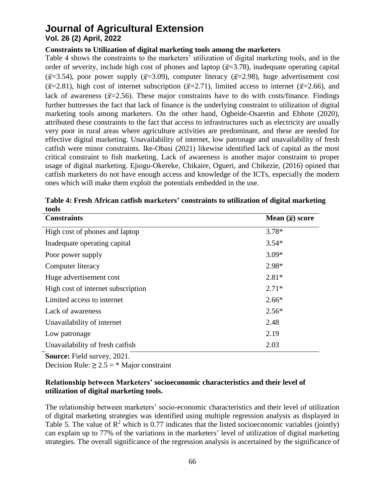# **Journal of Agricultural Extension**

## **Vol. 26 (2) April, 2022**

#### **Constraints to Utilization of digital marketing tools among the marketers**

Table 4 shows the constraints to the marketers' utilization of digital marketing tools, and in the order of severity, include high cost of phones and laptop ( $\bar{x}$ =3.78), inadequate operating capital  $(\bar{x}=3.54)$ , poor power supply  $(\bar{x}=3.09)$ , computer literacy  $(\bar{x}=2.98)$ , huge advertisement cost  $({\bar x}=2.81)$ , high cost of internet subscription  $({\bar x}=2.71)$ , limited access to internet  $({\bar x}=2.66)$ , and lack of awareness ( $\bar{x}$ =2.56). These major constraints have to do with costs/finance. Findings further buttresses the fact that lack of finance is the underlying constraint to utilization of digital marketing tools among marketers. On the other hand, Ogbeide-Osaretin and Ebhote (2020), attributed these constraints to the fact that access to infrastructures such as electricity are usually very poor in rural areas where agriculture activities are predominant, and these are needed for effective digital marketing. Unavailability of internet, low patronage and unavailability of fresh catfish were minor constraints. Ike-Obasi (2021) likewise identified lack of capital as the most critical constraint to fish marketing. Lack of awareness is another major constraint to proper usage of digital marketing. Ejiogu-Okereke, Chikaire, Ogueri, and Chikezie, (2016) opined that catfish marketers do not have enough access and knowledge of the ICTs, especially the modern ones which will make them exploit the potentials embedded in the use.

| Mean $(\bar{x})$ score |
|------------------------|
| $3.78*$                |
| $3.54*$                |
| $3.09*$                |
| 2.98*                  |
| $2.81*$                |
| $2.71*$                |
| $2.66*$                |
| $2.56*$                |
| 2.48                   |
| 2.19                   |
| 2.03                   |
|                        |

**Table 4: Fresh African catfish marketers' constraints to utilization of digital marketing tools** 

**Source:** Field survey, 2021.

Decision Rule:  $\geq 2.5$  =  $*$  Major constraint

#### **Relationship between Marketers' socioeconomic characteristics and their level of utilization of digital marketing tools.**

The relationship between marketers' socio-economic characteristics and their level of utilization of digital marketing strategies was identified using multiple regression analysis as displayed in Table 5. The value of  $\mathbb{R}^2$  which is 0.77 indicates that the listed socioeconomic variables (jointly) can explain up to 77% of the variations in the marketers' level of utilization of digital marketing strategies. The overall significance of the regression analysis is ascertained by the significance of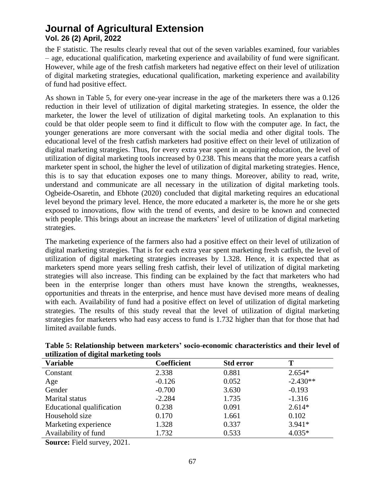the F statistic. The results clearly reveal that out of the seven variables examined, four variables – age, educational qualification, marketing experience and availability of fund were significant. However, while age of the fresh catfish marketers had negative effect on their level of utilization of digital marketing strategies, educational qualification, marketing experience and availability of fund had positive effect.

As shown in Table 5, for every one-year increase in the age of the marketers there was a 0.126 reduction in their level of utilization of digital marketing strategies. In essence, the older the marketer, the lower the level of utilization of digital marketing tools. An explanation to this could be that older people seem to find it difficult to flow with the computer age. In fact, the younger generations are more conversant with the social media and other digital tools. The educational level of the fresh catfish marketers had positive effect on their level of utilization of digital marketing strategies. Thus, for every extra year spent in acquiring education, the level of utilization of digital marketing tools increased by 0.238. This means that the more years a catfish marketer spent in school, the higher the level of utilization of digital marketing strategies. Hence, this is to say that education exposes one to many things. Moreover, ability to read, write, understand and communicate are all necessary in the utilization of digital marketing tools. Ogbeide-Osaretin, and Ebhote (2020) concluded that digital marketing requires an educational level beyond the primary level. Hence, the more educated a marketer is, the more he or she gets exposed to innovations, flow with the trend of events, and desire to be known and connected with people. This brings about an increase the marketers' level of utilization of digital marketing strategies.

The marketing experience of the farmers also had a positive effect on their level of utilization of digital marketing strategies. That is for each extra year spent marketing fresh catfish, the level of utilization of digital marketing strategies increases by 1.328. Hence, it is expected that as marketers spend more years selling fresh catfish, their level of utilization of digital marketing strategies will also increase. This finding can be explained by the fact that marketers who had been in the enterprise longer than others must have known the strengths, weaknesses, opportunities and threats in the enterprise, and hence must have devised more means of dealing with each. Availability of fund had a positive effect on level of utilization of digital marketing strategies. The results of this study reveal that the level of utilization of digital marketing strategies for marketers who had easy access to fund is 1.732 higher than that for those that had limited available funds.

| <b>Variable</b>           | <b>Coefficient</b> | <b>Std error</b> |            |  |
|---------------------------|--------------------|------------------|------------|--|
| Constant                  | 2.338              | 0.881            | $2.654*$   |  |
| Age                       | $-0.126$           | 0.052            | $-2.430**$ |  |
| Gender                    | $-0.700$           | 3.630            | $-0.193$   |  |
| Marital status            | $-2.284$           | 1.735            | $-1.316$   |  |
| Educational qualification | 0.238              | 0.091            | $2.614*$   |  |
| Household size            | 0.170              | 1.661            | 0.102      |  |
| Marketing experience      | 1.328              | 0.337            | $3.941*$   |  |
| Availability of fund      | 1.732              | 0.533            | $4.035*$   |  |

#### **Table 5: Relationship between marketers' socio-economic characteristics and their level of utilization of digital marketing tools**

**Source:** Field survey, 2021.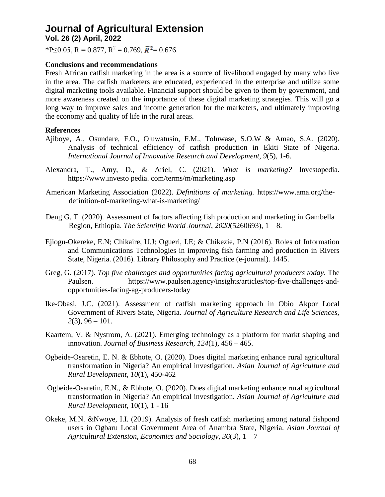\*P≤0.05, R = 0.877, R<sup>2</sup> = 0.769,  $\bar{R}$ <sup>2</sup> = 0.676.

#### **Conclusions and recommendations**

Fresh African catfish marketing in the area is a source of livelihood engaged by many who live in the area. The catfish marketers are educated, experienced in the enterprise and utilize some digital marketing tools available. Financial support should be given to them by government, and more awareness created on the importance of these digital marketing strategies. This will go a long way to improve sales and income generation for the marketers, and ultimately improving the economy and quality of life in the rural areas.

#### **References**

- Ajiboye, A., Osundare, F.O., Oluwatusin, F.M., Toluwase, S.O.W & Amao, S.A. (2020). Analysis of technical efficiency of catfish production in Ekiti State of Nigeria. *International Journal of Innovative Research and Development, 9*(5), 1-6.
- Alexandra, T., Amy, D., & Ariel, C. (2021). *What is marketing?* Investopedia. https://www.investo pedia. com/terms/m/marketing.asp
- American Marketing Association (2022). *Definitions of marketing.* [https://www.ama.org/the](https://www.ama.org/the-definition-of-marketing-what-is-marketing/)[definition-of-marketing-what-is-marketing/](https://www.ama.org/the-definition-of-marketing-what-is-marketing/)
- Deng G. T. (2020). Assessment of factors affecting fish production and marketing in Gambella Region, Ethiopia. *The Scientific World Journal*, *2020*(5260693), 1 – 8.
- Ejiogu-Okereke, E.N; Chikaire, U.J; Ogueri, I.E; & Chikezie, P.N (2016). Roles of Information and Communications Technologies in improving fish farming and production in Rivers State, Nigeria. (2016). Library Philosophy and Practice (e-journal). 1445.
- Greg, G. (2017). *Top five challenges and opportunities facing agricultural producers today*. The Paulsen. [https://www.paulsen.agency/insights/articles/top-five-challenges-and](https://www.paulsen.agency/insights/articles/top-five-challenges-and-opportunities-facing-ag-producers-today)[opportunities-facing-ag-producers-today](https://www.paulsen.agency/insights/articles/top-five-challenges-and-opportunities-facing-ag-producers-today)
- Ike-Obasi, J.C. (2021). Assessment of catfish marketing approach in Obio Akpor Local Government of Rivers State, Nigeria. *Journal of Agriculture Research and Life Sciences, 2*(3), 96 – 101.
- Kaartem, V. & Nystrom, A. (2021). Emerging technology as a platform for markt shaping and innovation. *Journal of Business Research, 124*(1), 456 – 465.
- Ogbeide-Osaretin, E. N. & Ebhote, O. (2020). Does digital marketing enhance rural agricultural transformation in Nigeria? An empirical investigation. *Asian Journal of Agriculture and Rural Development, 10*(1), 450-462
- Ogbeide-Osaretin, E.N., & Ebhote, O. (2020). Does digital marketing enhance rural agricultural transformation in Nigeria? An empirical investigation. *Asian Journal of Agriculture and Rural Development*, 10(1), 1 - 16
- Okeke, M.N. &Nwoye, I.I. (2019). Analysis of fresh catfish marketing among natural fishpond users in Ogbaru Local Government Area of Anambra State, Nigeria. *Asian Journal of Agricultural Extension, Economics and Sociology, 36*(3), 1 – 7